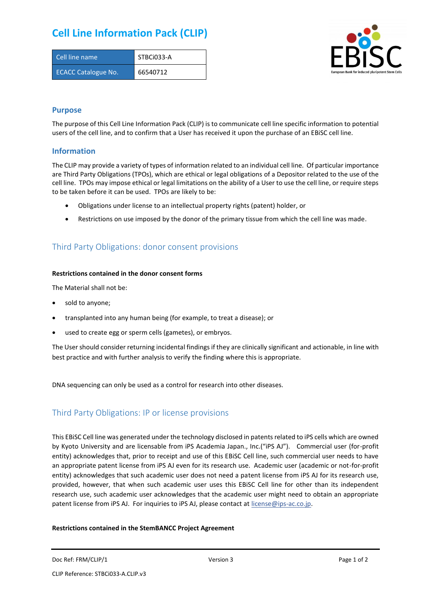## **Cell Line Information Pack (CLIP)**

| Cell line name             | STBCi033-A |
|----------------------------|------------|
| <b>ECACC Catalogue No.</b> | 66540712   |



#### **Purpose**

The purpose of this Cell Line Information Pack (CLIP) is to communicate cell line specific information to potential users of the cell line, and to confirm that a User has received it upon the purchase of an EBiSC cell line.

#### **Information**

The CLIP may provide a variety of types of information related to an individual cell line. Of particular importance are Third Party Obligations (TPOs), which are ethical or legal obligations of a Depositor related to the use of the cell line. TPOs may impose ethical or legal limitations on the ability of a User to use the cell line, or require steps to be taken before it can be used. TPOs are likely to be:

- Obligations under license to an intellectual property rights (patent) holder, or
- Restrictions on use imposed by the donor of the primary tissue from which the cell line was made.

## Third Party Obligations: donor consent provisions

#### **Restrictions contained in the donor consent forms**

The Material shall not be:

- sold to anyone;
- transplanted into any human being (for example, to treat a disease); or
- used to create egg or sperm cells (gametes), or embryos.

The User should consider returning incidental findings if they are clinically significant and actionable, in line with best practice and with further analysis to verify the finding where this is appropriate.

DNA sequencing can only be used as a control for research into other diseases.

## Third Party Obligations: IP or license provisions

This EBiSC Cell line was generated under the technology disclosed in patents related to iPS cells which are owned by Kyoto University and are licensable from iPS Academia Japan., Inc.("iPS AJ"). Commercial user (for-profit entity) acknowledges that, prior to receipt and use of this EBiSC Cell line, such commercial user needs to have an appropriate patent license from iPS AJ even for its research use. Academic user (academic or not-for-profit entity) acknowledges that such academic user does not need a patent license from iPS AJ for its research use, provided, however, that when such academic user uses this EBiSC Cell line for other than its independent research use, such academic user acknowledges that the academic user might need to obtain an appropriate patent license from iPS AJ. For inquiries to iPS AJ, please contact at [license@ips-ac.co.jp.](mailto:license@ips-ac.co.jp)

#### **Restrictions contained in the StemBANCC Project Agreement**

Doc Ref: FRM/CLIP/1 **Docessity** Version 3 **Page 1 of 2** Page 1 of 2